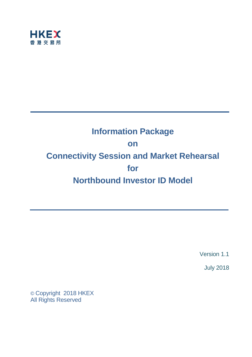

# **Information Package on Connectivity Session and Market Rehearsal for Northbound Investor ID Model**

Version 1.1

July 2018

© Copyright 2018 HKEX All Rights Reserved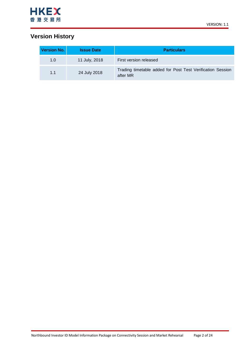

## **Version History**

| <b>Version No.</b> | <b>Issue Date</b> | <b>Particulars</b>                                                     |
|--------------------|-------------------|------------------------------------------------------------------------|
| 1.0                | 11 July, 2018     | First version released                                                 |
| 1.1                | 24 July 2018      | Trading timetable added for Post Test Verification Session<br>after MR |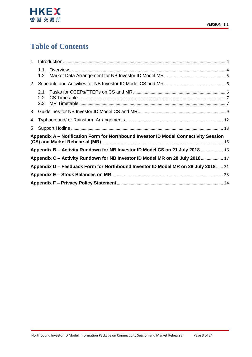

# **Table of Contents**

| 1              |                   |                                                                                      |  |
|----------------|-------------------|--------------------------------------------------------------------------------------|--|
|                | 1.1<br>1.2        |                                                                                      |  |
| 2 <sup>1</sup> |                   |                                                                                      |  |
|                | 2.1<br>2.2<br>2.3 |                                                                                      |  |
| 3              |                   |                                                                                      |  |
| 4              |                   |                                                                                      |  |
| 5              |                   |                                                                                      |  |
|                |                   | Appendix A – Notification Form for Northbound Investor ID Model Connectivity Session |  |
|                |                   | Appendix B - Activity Rundown for NB Investor ID Model CS on 21 July 2018  16        |  |
|                |                   | Appendix C - Activity Rundown for NB Investor ID Model MR on 28 July 2018 17         |  |
|                |                   | Appendix D - Feedback Form for Northbound Investor ID Model MR on 28 July 2018 21    |  |
|                |                   |                                                                                      |  |
|                |                   |                                                                                      |  |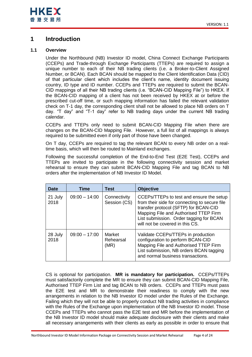

## <span id="page-3-0"></span>**1 Introduction**

### <span id="page-3-1"></span>**1.1 Overview**

Under the Northbound (NB) Investor ID model, China Connect Exchange Participants (CCEPs) and Trade-through Exchange Participants (TTEPs) are required to assign a unique number to each of their NB trading clients (i.e. a Broker-to-Client Assigned Number, or BCAN). Each BCAN should be mapped to the Client Identification Data (CID) of that particular client which includes the client's name, identity document issuing country, ID type and ID number. CCEPs and TTEPs are required to submit the BCAN-CID mappings of all their NB trading clients (i.e. "BCAN-CID Mapping File") to HKEX. If the BCAN-CID mapping of a client has not been received by HKEX at or before the prescribed cut-off time, or such mapping information has failed the relevant validation check on T-1 day, the corresponding client shall not be allowed to place NB orders on T day. "T day" and "T-1 day" refer to NB trading days under the current NB trading calendar.

CCEPs and TTEPs only need to submit BCAN-CID Mapping File when there are changes on the BCAN-CID Mapping File. However, a full list of all mappings is always required to be submitted even if only part of those have been changed.

On T day, CCEPs are required to tag the relevant BCAN to every NB order on a realtime basis, which will then be routed to Mainland exchanges.

Following the successful completion of the End-to-End Test (E2E Test), CCEPs and TTEPs are invited to participate in the following connectivity session and market rehearsal to ensure they can submit BCAN-CID Mapping File and tag BCAN to NB orders after the implementation of NB Investor ID Model.

| <b>Date</b>     | Time            | Test                         | <b>Objective</b>                                                                                                                                                                                                                                          |
|-----------------|-----------------|------------------------------|-----------------------------------------------------------------------------------------------------------------------------------------------------------------------------------------------------------------------------------------------------------|
| 21 July<br>2018 | $09:00 - 14:00$ | Connectivity<br>Session (CS) | CCEPs/TTEPs to test and ensure the setup<br>from their side for connecting to secure file<br>transfer protocol (SFTP) for BCAN-CID<br>Mapping File and Authorised TTEP Firm<br>List submission. Order tagging for BCAN<br>will not be covered in this CS. |
| 28 July<br>2018 | $09:00 - 17:00$ | Market<br>Rehearsal<br>(MR)  | Validate CCEPs/TTEPs in production<br>configuration to perform BCAN-CID<br>Mapping File and Authorised TTEP Firm<br>List submission, NB orders BCAN tagging<br>and normal business transactions.                                                          |

CS is optional for participation. **MR is mandatory for participation.** CCEPs/TTEPs must satisfactorily complete the MR to ensure they can submit BCAN-CID Mapping File, Authorised TTEP Firm List and tag BCAN to NB orders. CCEPs and TTEPs must pass the E2E test and MR to demonstrate their readiness to comply with the new arrangements in relation to the NB Investor ID model under the Rules of the Exchange. Failing which they will not be able to properly conduct NB trading activities in compliance with the Rules of the Exchange upon implementation of the NB Investor ID model. Those CCEPs and TTEPs who cannot pass the E2E test and MR before the implementation of the NB Investor ID model should make adequate disclosure with their clients and make all necessary arrangements with their clients as early as possible in order to ensure that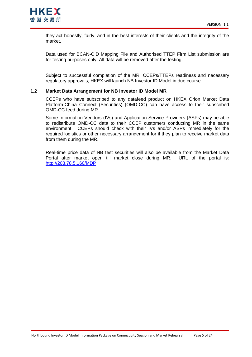

they act honestly, fairly, and in the best interests of their clients and the integrity of the market.

Data used for BCAN-CID Mapping File and Authorised TTEP Firm List submission are for testing purposes only. All data will be removed after the testing.

Subject to successful completion of the MR, CCEPs/TTEPs readiness and necessary regulatory approvals, HKEX will launch NB Investor ID Model in due course.

### <span id="page-4-0"></span>**1.2 Market Data Arrangement for NB Investor ID Model MR**

CCEPs who have subscribed to any datafeed product on HKEX Orion Market Data Platform-China Connect (Securities) (OMD-CC) can have access to their subscribed OMD-CC feed during MR.

Some Information Vendors (IVs) and Application Service Providers (ASPs) may be able to redistribute OMD-CC data to their CCEP customers conducting MR in the same environment. CCEPs should check with their IVs and/or ASPs immediately for the required logistics or other necessary arrangement for if they plan to receive market data from them during the MR.

Real-time price data of NB test securities will also be available from the Market Data Portal after market open till market close during MR. URL of the portal is: <http://203.78.5.160/MDP>.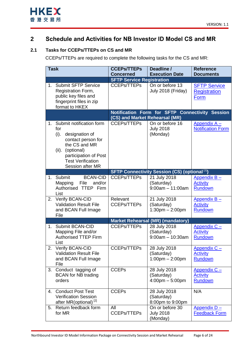

## <span id="page-5-0"></span>**2 Schedule and Activities for NB Investor ID Model CS and MR**

## <span id="page-5-1"></span>**2.1 Tasks for CCEPs/TTEPs on CS and MR**

CCEPs/TTEPs are required to complete the following tasks for the CS and MR:

| <b>Task</b> |                                                                                                                                                                                                  | <b>CCEPs/TTEPs</b>                                     | Deadline /                                                      | <b>Reference</b>                                    |
|-------------|--------------------------------------------------------------------------------------------------------------------------------------------------------------------------------------------------|--------------------------------------------------------|-----------------------------------------------------------------|-----------------------------------------------------|
|             |                                                                                                                                                                                                  | <b>Concerned</b>                                       | <b>Execution Date</b>                                           | <b>Documents</b>                                    |
| $1_{-}$     | <b>Submit SFTP Service</b>                                                                                                                                                                       | <b>SFTP Service Registration</b><br><b>CCEPs/TTEPs</b> | On or before 13                                                 |                                                     |
|             | Registration Form,<br>public key files and<br>fingerprint files in zip<br>format to HKEX                                                                                                         |                                                        | July 2018 (Friday)                                              | <b>SFTP Service</b><br><b>Registration</b><br>Form  |
|             |                                                                                                                                                                                                  | (CS) and Market Rehearsal (MR)                         | Notification Form for SFTP Connectivity Session                 |                                                     |
| 1.          | Submit notification form<br>for<br>(i).<br>designation of<br>contact person for<br>the CS and MR<br>(optional)<br>(ii).<br>participation of Post<br><b>Test Verification</b><br>Session after MR | <b>CCEPs/TTEPs</b>                                     | On or before 16<br><b>July 2018</b><br>(Monday)                 | Appendix A-<br><b>Notification Form</b>             |
|             |                                                                                                                                                                                                  |                                                        | <b>SFTP Connectivity Session (CS) (optional [1])</b>            |                                                     |
|             | 1. Submit<br><b>BCAN-CID</b><br>Mapping<br>File<br>and/or<br>Authorised TTEP Firm<br>List                                                                                                        | <b>CCEPs/TTEPs</b>                                     | 21 July 2018<br>(Saturday)<br>$9:00am - 11:00am$                | Appendix $B -$<br><b>Activity</b><br><b>Rundown</b> |
| 2.          | Verify BCAN-CID<br><b>Validation Result File</b><br>and BCAN Full Image<br>File                                                                                                                  | Relevant<br><b>CCEPs/TTEPs</b>                         | 21 July 2018<br>(Saturday)<br>$1:30$ pm $- 2:00$ pm             | Appendix $B -$<br><b>Activity</b><br>Rundown        |
|             |                                                                                                                                                                                                  |                                                        | <b>Market Rehearsal (MR) (mandatory)</b>                        |                                                     |
| $1_{-}$     | <b>Submit BCAN-CID</b><br>Mapping File and/or<br><b>Authorised TTEP Firm</b><br>List                                                                                                             | <b>CCEPs/TTEPs</b>                                     | 28 July 2018<br>(Saturday)<br>$9:00$ am $-10:30$ am             | Appendix C -<br><b>Activity</b><br><b>Rundown</b>   |
| 2.          | Verify BCAN-CID<br><b>Validation Result File</b><br>and BCAN Full Image<br>File                                                                                                                  | <b>CCEPs/TTEPs</b>                                     | 28 July 2018<br>(Saturday)<br>$1:00$ pm $- 2:00$ pm             | Appendix $C -$<br><b>Activity</b><br><b>Rundown</b> |
| 3.          | Conduct tagging of<br><b>BCAN</b> for NB trading<br>orders                                                                                                                                       | <b>CCEPs</b>                                           | 28 July 2018<br>(Saturday)<br>$4:00 \text{pm} - 5:00 \text{pm}$ | Appendix C -<br><b>Activity</b><br>Rundown          |
|             | 4. Conduct Post Test<br><b>Verification Session</b><br>after MR(optional) <sup>[2]</sup>                                                                                                         | <b>CCEPs</b>                                           | 28 July 2018<br>(Saturday)<br>8:00pm to 9:00pm                  | N/A                                                 |
| 5.          | Return feedback form<br>for MR                                                                                                                                                                   | All<br><b>CCEPs/TTEPs</b>                              | On or before 30<br><b>July 2018</b><br>(Monday)                 | Appendix D-<br>Feedback Form                        |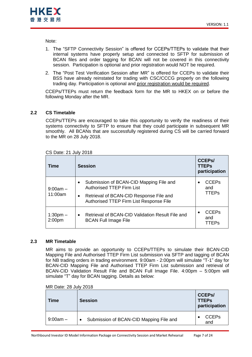

Note:

- 1. The "SFTP Connectivity Session" is offered for CCEPs/TTEPs to validate that their internal systems have properly setup and connected to SFTP for submission of BCAN files and order tagging for BCAN will not be covered in this connectivity session. Participation is optional and prior registration would NOT be required.
- 2. The "Post Test Verification Session after MR" is offered for CCEPs to validate their BSS have already reinstated for trading with CSC/CCCG properly on the following trading day. Participation is optional and prior registration would be required.

CCEPs/TTEPs must return the feedback form for the MR to HKEX on or before the following Monday after the MR.

## <span id="page-6-0"></span>**2.2 CS Timetable**

CCEPs/TTEPs are encouraged to take this opportunity to verify the readiness of their systems connectivity to SFTP to ensure that they could participate in subsequent MR smoothly. All BCANs that are successfully registered during CS will be carried forward to the MR on 28 July 2018.

| Time                             | <b>Session</b>                                                                                  | <b>CCEPS/</b><br><b>TTEPs</b><br>participation |
|----------------------------------|-------------------------------------------------------------------------------------------------|------------------------------------------------|
| $9:00am -$                       | Submission of BCAN-CID Mapping File and<br>$\bullet$<br><b>Authorised TTEP Firm List</b>        | <b>CCEPs</b><br>and                            |
| 11:00am                          | Retrieval of BCAN-CID Response File and<br>$\bullet$<br>Authorised TTEP Firm List Response File | <b>TTEPs</b>                                   |
| $1:30pm -$<br>2:00 <sub>pm</sub> | Retrieval of BCAN-CID Validation Result File and<br>$\bullet$<br><b>BCAN Full Image File</b>    | <b>CCEPs</b><br>and<br>TTEPs                   |

### CS Date: 21 July 2018

### <span id="page-6-1"></span>**2.3 MR Timetable**

MR aims to provide an opportunity to CCEPs/TTEPs to simulate their BCAN-CID Mapping File and Authorised TTEP Firm List submission via SFTP and tagging of BCAN for NB trading orders in trading environment. 9:00am - 2:00pm will simulate "T-1" day for BCAN-CID Mapping File and Authorised TTEP Firm List submission and retrieval of BCAN-CID Validation Result File and BCAN Full Image File. 4:00pm – 5:00pm will simulate "T" day for BCAN tagging. Details as below:

| MR Date: 28 July 2018 |  |  |  |
|-----------------------|--|--|--|
|-----------------------|--|--|--|

| Time       | <b>Session</b>                          | <b>CCEPS/</b><br><b>TTEPs</b><br>participation |
|------------|-----------------------------------------|------------------------------------------------|
| $9:00am -$ | Submission of BCAN-CID Mapping File and | <b>CCEPs</b><br>and                            |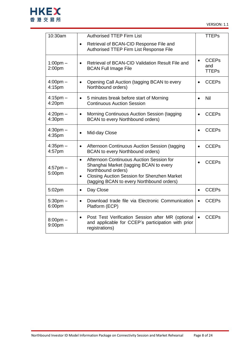

| 10:30am                      | <b>Authorised TTEP Firm List</b>                                                                                                                                                                                                      | <b>TTEPs</b>                                     |
|------------------------------|---------------------------------------------------------------------------------------------------------------------------------------------------------------------------------------------------------------------------------------|--------------------------------------------------|
|                              | Retrieval of BCAN-CID Response File and<br>$\bullet$<br>Authorised TTEP Firm List Response File                                                                                                                                       |                                                  |
| $1:00$ pm $-$<br>2:00pm      | Retrieval of BCAN-CID Validation Result File and<br>$\bullet$<br><b>BCAN Full Image File</b>                                                                                                                                          | <b>CCEPs</b><br>$\bullet$<br>and<br><b>TTEPs</b> |
| $4:00 \text{pm} -$<br>4:15pm | Opening Call Auction (tagging BCAN to every<br>$\bullet$<br>Northbound orders)                                                                                                                                                        | <b>CCEPs</b><br>$\bullet$                        |
| $4:15$ pm $-$<br>4:20pm      | 5 minutes break before start of Morning<br>$\bullet$<br><b>Continuous Auction Session</b>                                                                                                                                             | Nil<br>$\bullet$                                 |
| $4:20$ pm $-$<br>4:30pm      | Morning Continuous Auction Session (tagging<br>$\bullet$<br><b>BCAN</b> to every Northbound orders)                                                                                                                                   | <b>CCEPs</b><br>$\bullet$                        |
| $4:30pm -$<br>4:35pm         | Mid-day Close<br>$\bullet$                                                                                                                                                                                                            | <b>CCEPs</b><br>$\bullet$                        |
| $4:35$ pm $-$<br>4:57pm      | Afternoon Continuous Auction Session (tagging<br>$\bullet$<br>BCAN to every Northbound orders)                                                                                                                                        | <b>CCEPs</b><br>$\bullet$                        |
| $4:57$ pm $-$<br>5:00pm      | Afternoon Continuous Auction Session for<br>$\bullet$<br>Shanghai Market (tagging BCAN to every<br>Northbound orders)<br><b>Closing Auction Session for Shenzhen Market</b><br>$\bullet$<br>(tagging BCAN to every Northbound orders) | <b>CCEPs</b><br>$\bullet$                        |
| 5:02pm                       | Day Close<br>$\bullet$                                                                                                                                                                                                                | <b>CCEPs</b>                                     |
| $5:30$ pm $-$<br>6:00pm      | Download trade file via Electronic Communication<br>$\bullet$<br>Platform (ECP)                                                                                                                                                       | <b>CCEPs</b>                                     |
| $8:00$ pm $-$<br>9:00pm      | Post Test Verification Session after MR (optional<br>$\bullet$<br>and applicable for CCEP's participation with prior<br>registrations)                                                                                                | <b>CCEPs</b><br>$\bullet$                        |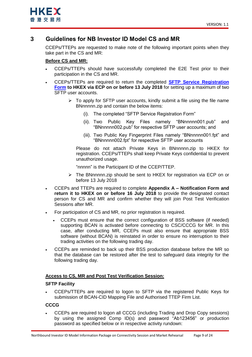

## <span id="page-8-0"></span>**3 Guidelines for NB Investor ID Model CS and MR**

CCEPs/TTEPs are requested to make note of the following important points when they take part in the CS and MR:

## **Before CS and MR:**

- CCEPs/TTEPs should have successfully completed the E2E Test prior to their participation in the CS and MR.
- CCEPs/TTEPs are required to return the completed **[SFTP Service Registration](http://www.hkex.com.hk/-/media/HKEX-Market/Mutual-Market/Stock-Connect/Reference-Materials/Northbound-Investor-ID-Model/SFTP_Service_Registration_Form.pdf?la=en)  [Form](http://www.hkex.com.hk/-/media/HKEX-Market/Mutual-Market/Stock-Connect/Reference-Materials/Northbound-Investor-ID-Model/SFTP_Service_Registration_Form.pdf?la=en) to HKEX via ECP on or before 13 July 2018** for setting up a maximum of two SFTP user accounts.
	- $\triangleright$  To apply for SFTP user accounts, kindly submit a file using the file name BNnnnnn.zip and contain the below items:
		- (i). The completed "SFTP Service Registration Form"
		- (ii). Two Public Key Files namely "BNnnnnn001.pub" and "BNnnnnn002.pub" for respective SFTP user accounts; and
		- (iii). Two Public Key Fingerprint Files namely "BNnnnnn001.fpt" and "BNnnnnn002.fpt" for respective SFTP user accounts

Please do not attach Private Keys in BNnnnnn.zip to HKEX for registration. CCEPs/TTEPs shall keep Private Keys confidential to prevent unauthorized usage.

"nnnnn" is the Participant ID of the CCEP/TTEP.

- $\triangleright$  The BNnnnnn.zip should be sent to HKEX for registration via ECP on or before 13 July 2018
- CCEPs and TTEPs are required to complete **Appendix A – Notification Form and return it to HKEX on or before 16 July 2018** to provide the designated contact person for CS and MR and confirm whether they will join Post Test Verification Sessions after MR.
- For participation of CS and MR, no prior registration is required.
	- CCEPs must ensure that the correct configuration of BSS software (if needed) supporting BCAN is activated before connecting to CSC/CCCG for MR. In this case, after conducting MR, CCEPs must also ensure that appropriate BSS software (without BCAN) is reinstated in order to ensure no interruption to their trading activities on the following trading day.
- CCEPs are reminded to back up their BSS production database before the MR so that the database can be restored after the test to safeguard data integrity for the following trading day.

## **Access to CS, MR and Post Test Verification Session:**

## **SFTP Facility**

 CCEPs/TTEPs are required to logon to SFTP via the registered Public Keys for submission of BCAN-CID Mapping File and Authorised TTEP Firm List.

### **CCCG**

 CCEPs are required to logon all CCCG (including Trading and Drop Copy sessions) by using the assigned Comp ID(s) and password "Ab123456" or production password as specified below or in respective activity rundown: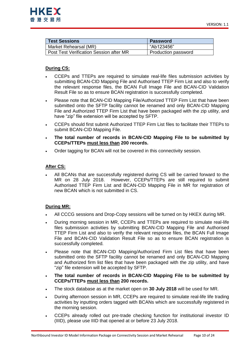| <b>Test Sessions</b>                    | <b>Password</b>     |
|-----------------------------------------|---------------------|
| Market Rehearsal (MR)                   | "Ab123456"          |
| Post Test Verification Session after MR | Production password |

## **During CS:**

- CCEPs and TTEPs are required to simulate real-life files submission activities by submitting BCAN-CID Mapping File and Authorised TTEP Firm List and also to verify the relevant response files, the BCAN Full Image File and BCAN-CID Validation Result File so as to ensure BCAN registration is successfully completed.
- Please note that BCAN-CID Mapping File/Authorized TTEP Firm List that have been submitted onto the SFTP facility cannot be renamed and only BCAN-CID Mapping File and Authorized TTEP Firm List that have been packaged with the zip utility, and have "zip" file extension will be accepted by SFTP.
- CCEPs should first submit Authorized TTEP Firm List files to facilitate their TTEPs to submit BCAN-CID Mapping File.
- **The total number of records in BCAN-CID Mapping File to be submitted by CCEPs/TTEPs must less than 200 records.**
- Order tagging for BCAN will not be covered in this connectivity session.

## **After CS:**

 All BCANs that are successfully registered during CS will be carried forward to the MR on 28 July 2018. However, CCEPs/TTEPs are still required to submit Authorised TTEP Firm List and BCAN-CID Mapping File in MR for registration of new BCAN which is not submitted in CS.

## **During MR:**

- All CCCG sessions and Drop-Copy sessions will be turned on by HKEX during MR.
- During morning session in MR, CCEPs and TTEPs are required to simulate real-life files submission activities by submitting BCAN-CID Mapping File and Authorised TTEP Firm List and also to verify the relevant response files, the BCAN Full Image File and BCAN-CID Validation Result File so as to ensure BCAN registration is successfully completed.
- Please note that BCAN-CID Mapping/Authorized Firm List files that have been submitted onto the SFTP facility cannot be renamed and only BCAN-CID Mapping and Authorized firm list files that have been packaged with the zip utility, and have "zip" file extension will be accepted by SFTP.
- **The total number of records in BCAN-CID Mapping File to be submitted by CCEPs/TTEPs must less than 200 records.**
- The stock database as at the market open on **30 July 2018** will be used for MR.
- During afternoon session in MR, CCEPs are required to simulate real-life life trading activities by inputting orders tagged with BCANs which are successfully registered in the morning session.
- CCEPs already rolled out pre-trade checking function for institutional investor ID (IIID), please use IIID that opened at or before 23 July 2018.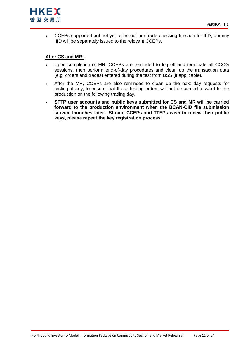

• CCEPs supported but not yet rolled out pre-trade checking function for IIID, dummy IIID will be separately issued to the relevant CCEPs.

### **After CS and MR:**

- Upon completion of MR, CCEPs are reminded to log off and terminate all CCCG sessions, then perform end-of-day procedures and clean up the transaction data (e.g. orders and trades) entered during the test from BSS (if applicable).
- After the MR, CCEPs are also reminded to clean up the next day requests for testing, if any, to ensure that these testing orders will not be carried forward to the production on the following trading day.
- **SFTP user accounts and public keys submitted for CS and MR will be carried forward to the production environment when the BCAN-CID file submission service launches later. Should CCEPs and TTEPs wish to renew their public keys, please repeat the key registration process.**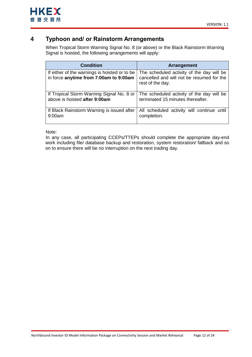

## <span id="page-11-0"></span>**4 Typhoon and/ or Rainstorm Arrangements**

When Tropical Storm Warning Signal No. 8 (or above) or the Black Rainstorm Warning Signal is hoisted, the following arrangements will apply:

| <b>Condition</b>                                                                        | <b>Arrangement</b>                                                                                         |
|-----------------------------------------------------------------------------------------|------------------------------------------------------------------------------------------------------------|
| If either of the warnings is hoisted or to be<br>in force anytime from 7:00am to 9:00am | The scheduled activity of the day will be<br>cancelled and will not be resumed for the<br>rest of the day. |
| If Tropical Storm Warning Signal No. 8 or                                               | The scheduled activity of the day will be                                                                  |
| above is hoisted after 9:00am                                                           | terminated 15 minutes thereafter.                                                                          |
| If Black Rainstorm Warning is issued after                                              | All scheduled activity will continue until                                                                 |
| 9:00am                                                                                  | completion.                                                                                                |

Note:

In any case, all participating CCEPs/TTEPs should complete the appropriate day-end work including file/ database backup and restoration, system restoration/ fallback and so on to ensure there will be no interruption on the next trading day.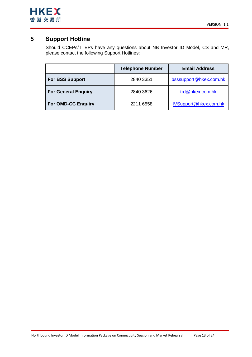

## <span id="page-12-0"></span>**5 Support Hotline**

Should CCEPs/TTEPs have any questions about NB Investor ID Model, CS and MR, please contact the following Support Hotlines:

|                            | <b>Telephone Number</b> | <b>Email Address</b>   |
|----------------------------|-------------------------|------------------------|
| <b>For BSS Support</b>     | 2840 3351               | bsssupport@hkex.com.hk |
| <b>For General Enquiry</b> | 2840 3626               | trd@hkex.com.hk        |
| <b>For OMD-CC Enquiry</b>  | 2211 6558               | IVSupport@hkex.com.hk  |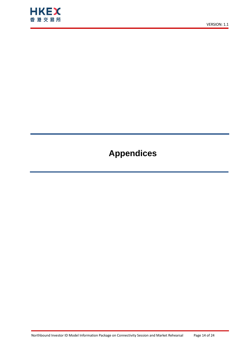

# **Appendices**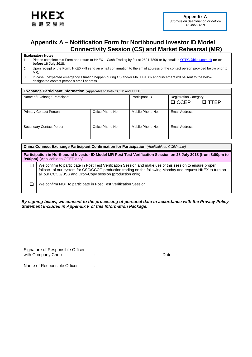

## <span id="page-14-0"></span>**Appendix A – Notification Form for Northbound Investor ID Model Connectivity Session (CS) and Market Rehearsal (MR)**

### **Explanatory Notes :**

- 1. Please complete this Form and return to HKEX Cash Trading by fax at 2521-7899 or by email to [OTPC@hkex.com.hk](mailto:OTPC@hkex.com.hk) **on or before 16 July 2018**.
- 2. Upon receipt of the Form, HKEX will send an email confirmation to the email address of the contact person provided below prior to MR.

| <b>Exchange Participant Information</b> (Applicable to both CCEP and TTEP) |                  |                  |                              |  |  |  |
|----------------------------------------------------------------------------|------------------|------------------|------------------------------|--|--|--|
| Name of Exchange Participant                                               |                  | Participant ID   | <b>Registration Category</b> |  |  |  |
|                                                                            |                  |                  | $\Box$ CCEP<br>I TTFP        |  |  |  |
| <b>Primary Contact Person</b>                                              | Office Phone No. | Mobile Phone No. | Email Address                |  |  |  |
| Secondary Contact Person                                                   | Office Phone No. | Mobile Phone No. | Email Address                |  |  |  |

| China Connect Exchange Participant Confirmation for Participation (Applicable to CCEP only)                                                                                                                                                                                         |  |  |  |
|-------------------------------------------------------------------------------------------------------------------------------------------------------------------------------------------------------------------------------------------------------------------------------------|--|--|--|
| Participation in Northbound Investor ID Model MR Post Test Verification Session on 28 July 2018 (from 8:00pm to<br>9:00pm) (Applicable to CCEP only)                                                                                                                                |  |  |  |
| We confirm to participate in Post Test Verification Session and make use of this session to ensure proper<br>fallback of our system for CSC/CCCG production trading on the following Monday and request HKEX to turn on<br>all our CCCG/BSS and Drop-Copy session (production only) |  |  |  |
| We confirm NOT to participate in Post Test Verification Session.                                                                                                                                                                                                                    |  |  |  |

*By signing below, we consent to the processing of personal data in accordance with the Privacy Policy Statement included in Appendix F of this Information Package.*

| Signature of Responsible Officer |      |
|----------------------------------|------|
| with Company Chop                | Date |
|                                  |      |
|                                  |      |

Name of Responsible Officer :

<sup>3.</sup> In case unexpected emergency situation happen during CS and/or MR, HKEX's announcement will be sent to the below designated contact person's email address.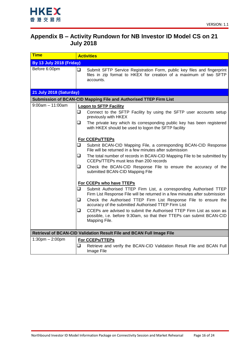

## <span id="page-15-0"></span>**Appendix B – Activity Rundown for NB Investor ID Model CS on 21 July 2018**

| <b>Time</b>                                                           | <b>Activities</b>                                                                                                                                                   |  |  |
|-----------------------------------------------------------------------|---------------------------------------------------------------------------------------------------------------------------------------------------------------------|--|--|
| <b>By 13 July 2018 (Friday)</b>                                       |                                                                                                                                                                     |  |  |
| Before 6:00pm                                                         | $\Box$<br>Submit SFTP Service Registration Form, public key files and fingerprint<br>files in zip format to HKEX for creation of a maximum of two SFTP<br>accounts. |  |  |
| 21 July 2018 (Saturday)                                               |                                                                                                                                                                     |  |  |
|                                                                       | Submission of BCAN-CID Mapping File and Authorised TTEP Firm List                                                                                                   |  |  |
| $9:00$ am $-11:00$ am                                                 | <b>Logon to SFTP Facility</b>                                                                                                                                       |  |  |
|                                                                       | Connect to the SFTP Facility by using the SFTP user accounts setup<br>❏<br>previously with HKEX                                                                     |  |  |
|                                                                       | The private key which its corresponding public key has been registered<br>u.<br>with HKEX should be used to logon the SFTP facility                                 |  |  |
|                                                                       | <b>For CCEPs/TTEPs</b>                                                                                                                                              |  |  |
|                                                                       | Submit BCAN-CID Mapping File, a corresponding BCAN-CID Response<br>Q.<br>File will be returned in a few minutes after submission                                    |  |  |
|                                                                       | Q.<br>The total number of records in BCAN-CID Mapping File to be submitted by<br>CCEPs/TTEPs must less than 200 records                                             |  |  |
|                                                                       | $\Box$<br>Check the BCAN-CID Response File to ensure the accuracy of the<br>submitted BCAN-CID Mapping File                                                         |  |  |
|                                                                       | For CCEPs who have TTEPs                                                                                                                                            |  |  |
|                                                                       | ❏.<br>Submit Authorised TTEP Firm List, a corresponding Authorised TTEP<br>Firm List Response File will be returned in a few minutes after submission               |  |  |
|                                                                       | ❏<br>Check the Authorised TTEP Firm List Response File to ensure the<br>accuracy of the submitted Authorised TTEP Firm List                                         |  |  |
|                                                                       | CCEPs are advised to submit the Authorised TTEP Firm List as soon as<br>□<br>possible, i.e. before 9:30am, so that their TTEPs can submit BCAN-CID<br>Mapping File. |  |  |
| Retrieval of BCAN-CID Validation Result File and BCAN Full Image File |                                                                                                                                                                     |  |  |
| $1:30 \text{pm} - 2:00 \text{pm}$                                     | For CCEPs/TTEPs                                                                                                                                                     |  |  |
|                                                                       | ❏<br>Retrieve and verify the BCAN-CID Validation Result File and BCAN Full<br>Image File                                                                            |  |  |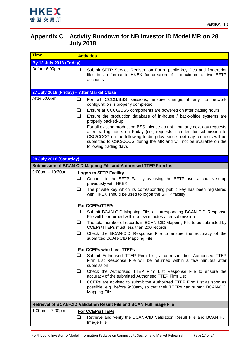

## <span id="page-16-0"></span>**Appendix C – Activity Rundown for NB Investor ID Model MR on 28 July 2018**

| <b>Time</b>                                | <b>Activities</b>                                                                                                                                                                                                                                                                                                                                                                                                                                                                                                                                                                                                            |  |  |
|--------------------------------------------|------------------------------------------------------------------------------------------------------------------------------------------------------------------------------------------------------------------------------------------------------------------------------------------------------------------------------------------------------------------------------------------------------------------------------------------------------------------------------------------------------------------------------------------------------------------------------------------------------------------------------|--|--|
| <b>By 13 July 2018 (Friday)</b>            |                                                                                                                                                                                                                                                                                                                                                                                                                                                                                                                                                                                                                              |  |  |
| Before 6:00pm                              | ❏<br>Submit SFTP Service Registration Form, public key files and fingerprint<br>files in zip format to HKEX for creation of a maximum of two SFTP<br>accounts.                                                                                                                                                                                                                                                                                                                                                                                                                                                               |  |  |
| 27 July 2018 (Friday) - After Market Close |                                                                                                                                                                                                                                                                                                                                                                                                                                                                                                                                                                                                                              |  |  |
| After 5:00pm                               | ❏<br>For all CCCG/BSS sessions, ensure change, if any, to network<br>configuration is properly completed<br>Ensure all CCCG/BSS components are powered on after trading hours<br>❏<br>❏<br>Ensure the production database of in-house / back-office systems are<br>properly backed-up<br>For all existing production BSS, please do not input any next day requests<br>after trading hours on Friday (i.e., requests intended for submission to<br>CSC/CCCG on the following trading day, since next day requests will be<br>submitted to CSC/CCCG during the MR and will not be available on the<br>following trading day). |  |  |
| 28 July 2018 (Saturday)                    |                                                                                                                                                                                                                                                                                                                                                                                                                                                                                                                                                                                                                              |  |  |
|                                            |                                                                                                                                                                                                                                                                                                                                                                                                                                                                                                                                                                                                                              |  |  |
| $9:00am - 10:30am$                         | Submission of BCAN-CID Mapping File and Authorised TTEP Firm List                                                                                                                                                                                                                                                                                                                                                                                                                                                                                                                                                            |  |  |
|                                            | <b>Logon to SFTP Facility</b><br>Connect to the SFTP Facility by using the SFTP user accounts setup<br>❏<br>previously with HKEX<br>❏<br>The private key which its corresponding public key has been registered<br>with HKEX should be used to logon the SFTP facility                                                                                                                                                                                                                                                                                                                                                       |  |  |
|                                            | For CCEPs/TTEPs                                                                                                                                                                                                                                                                                                                                                                                                                                                                                                                                                                                                              |  |  |
|                                            | ❏<br>Submit BCAN-CID Mapping File, a corresponding BCAN-CID Response<br>File will be returned within a few minutes after submission<br>❏<br>The total number of records in BCAN-CID Mapping File to be submitted by<br>CCEPs/TTEPs must less than 200 records<br>❏<br>Check the BCAN-CID Response File to ensure the accuracy of the<br>submitted BCAN-CID Mapping File<br>For CCEPs who have TTEPs<br>⊐<br>Submit Authorised TTEP Firm List, a corresponding Authorised TTEP<br>Firm List Response File will be returned within a few minutes after                                                                         |  |  |
|                                            | submission<br>⊔<br>Check the Authorised TTEP Firm List Response File to ensure the                                                                                                                                                                                                                                                                                                                                                                                                                                                                                                                                           |  |  |
|                                            | accuracy of the submitted Authorised TTEP Firm List                                                                                                                                                                                                                                                                                                                                                                                                                                                                                                                                                                          |  |  |
|                                            | CCEPs are advised to submit the Authorised TTEP Firm List as soon as<br>⊔<br>possible, e.g. before 9:30am, so that their TTEPs can submit BCAN-CID<br>Mapping File.                                                                                                                                                                                                                                                                                                                                                                                                                                                          |  |  |
|                                            | Retrieval of BCAN-CID Validation Result File and BCAN Full Image File                                                                                                                                                                                                                                                                                                                                                                                                                                                                                                                                                        |  |  |
| $1:00 \text{pm} - 2:00 \text{pm}$          | For CCEPs/TTEPs                                                                                                                                                                                                                                                                                                                                                                                                                                                                                                                                                                                                              |  |  |
|                                            | ⊐<br>Retrieve and verify the BCAN-CID Validation Result File and BCAN Full<br>Image File                                                                                                                                                                                                                                                                                                                                                                                                                                                                                                                                     |  |  |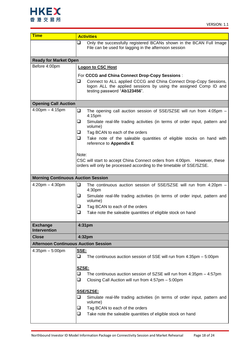

| <b>Time</b>                                 | <b>Activities</b>                                                                                                                                                          |  |  |
|---------------------------------------------|----------------------------------------------------------------------------------------------------------------------------------------------------------------------------|--|--|
|                                             | ❏<br>Only the successfully registered BCANs shown in the BCAN Full Image<br>File can be used for tagging in the afternoon session                                          |  |  |
| <b>Ready for Market Open</b>                |                                                                                                                                                                            |  |  |
| Before 4:00pm                               | <b>Logon to CSC Host</b>                                                                                                                                                   |  |  |
|                                             | For CCCG and China Connect Drop-Copy Sessions:                                                                                                                             |  |  |
|                                             | Connect to ALL applied CCCG and China Connect Drop-Copy Sessions,<br>u<br>logon ALL the applied sessions by using the assigned Comp ID and<br>testing password "Ab123456". |  |  |
| <b>Opening Call Auction</b>                 |                                                                                                                                                                            |  |  |
| $4:00$ pm $- 4:15$ pm                       | $\Box$<br>The opening call auction session of SSE/SZSE will run from 4:05pm -<br>4:15pm                                                                                    |  |  |
|                                             | ❏<br>Simulate real-life trading activities (in terms of order input, pattern and<br>volume)                                                                                |  |  |
|                                             | Tag BCAN to each of the orders<br>u.                                                                                                                                       |  |  |
|                                             | $\Box$<br>Take note of the saleable quantities of eligible stocks on hand with<br>reference to Appendix E                                                                  |  |  |
|                                             | Note:                                                                                                                                                                      |  |  |
|                                             | CSC will start to accept China Connect orders from 4:00pm. However, these<br>orders will only be processed according to the timetable of SSE/SZSE.                         |  |  |
| <b>Morning Continuous Auction Session</b>   |                                                                                                                                                                            |  |  |
| $4:20$ pm $- 4:30$ pm                       | ❏<br>The continuous auction session of SSE/SZSE will run from 4:20pm -<br>4:30pm                                                                                           |  |  |
|                                             | ❏<br>Simulate real-life trading activities (in terms of order input, pattern and<br>volume)                                                                                |  |  |
|                                             | Tag BCAN to each of the orders<br>⊔                                                                                                                                        |  |  |
|                                             | ❏<br>Take note the saleable quantities of eligible stock on hand                                                                                                           |  |  |
| <b>Exchange</b><br><b>Intervention</b>      | 4:31pm                                                                                                                                                                     |  |  |
| <b>Close</b>                                | 4:32pm                                                                                                                                                                     |  |  |
| <b>Afternoon Continuous Auction Session</b> |                                                                                                                                                                            |  |  |
| $4:35$ pm $-5:00$ pm                        | SSE:                                                                                                                                                                       |  |  |
|                                             | ❏<br>The continuous auction session of SSE will run from $4:35$ pm $-5:00$ pm                                                                                              |  |  |
|                                             | SZSE:                                                                                                                                                                      |  |  |
|                                             | The continuous auction session of SZSE will run from 4:35pm - 4:57pm<br>❏                                                                                                  |  |  |
|                                             | $\Box$<br>Closing Call Auction will run from 4:57pm - 5:00pm                                                                                                               |  |  |
|                                             | SSE/SZSE:                                                                                                                                                                  |  |  |
|                                             | ❏<br>Simulate real-life trading activities (in terms of order input, pattern and<br>volume)                                                                                |  |  |
|                                             | Tag BCAN to each of the orders<br>⊔                                                                                                                                        |  |  |
|                                             | $\Box$<br>Take note the saleable quantities of eligible stock on hand                                                                                                      |  |  |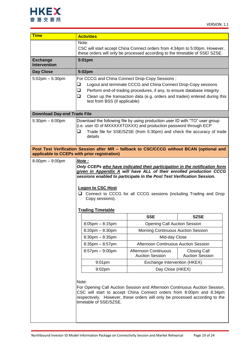

| <b>Time</b>                                                                                                                                                                                                                                                          | <b>Activities</b>                                                                                                                                                                                                                                                                                                                                                             |                                                |                                               |  |
|----------------------------------------------------------------------------------------------------------------------------------------------------------------------------------------------------------------------------------------------------------------------|-------------------------------------------------------------------------------------------------------------------------------------------------------------------------------------------------------------------------------------------------------------------------------------------------------------------------------------------------------------------------------|------------------------------------------------|-----------------------------------------------|--|
|                                                                                                                                                                                                                                                                      | Note:<br>CSC will start accept China Connect orders from 4:34pm to 5:00pm. However,<br>these orders will only be processed according to the timetable of SSE/ SZSE.                                                                                                                                                                                                           |                                                |                                               |  |
| <b>Exchange</b><br><b>Intervention</b>                                                                                                                                                                                                                               | 5:01pm                                                                                                                                                                                                                                                                                                                                                                        |                                                |                                               |  |
| <b>Day Close</b>                                                                                                                                                                                                                                                     | 5:02pm                                                                                                                                                                                                                                                                                                                                                                        |                                                |                                               |  |
| $5:02$ pm $-5:30$ pm                                                                                                                                                                                                                                                 | For CCCG and China Connect Drop-Copy Sessions:<br>$\Box$<br>Logout and terminate CCCG and China Connect Drop-Copy sessions<br>$\Box$<br>Perform end-of-trading procedures, if any, to ensure database integrity<br>❏<br>Clean up the transaction data (e.g. orders and trades) entered during this<br>test from BSS (if applicable)                                           |                                                |                                               |  |
| <b>Download Day-end Trade File</b>                                                                                                                                                                                                                                   |                                                                                                                                                                                                                                                                                                                                                                               |                                                |                                               |  |
| $5:30$ pm $-6:00$ pm                                                                                                                                                                                                                                                 | Download the following file by using production user ID with "TO" user group<br>(i.e. user ID of MXXXXXTOXXX) and production password through ECP<br>Trade file for SSE/SZSE (from 5:30pm) and check the accuracy of trade<br>❏<br>details                                                                                                                                    |                                                |                                               |  |
|                                                                                                                                                                                                                                                                      | Post Test Verification Session after MR - fallback to CSC/CCCG without BCAN (optional and<br>applicable to CCEPs with prior registration)                                                                                                                                                                                                                                     |                                                |                                               |  |
|                                                                                                                                                                                                                                                                      | Only CCEPs who have indicated their participation in the notification form<br>given in Appendix A will have ALL of their enrolled production CCCG<br>sessions enabled to participate in the Post Test Verification Session.<br><b>Logon to CSC Host</b><br>□ Connect to CCCG for all CCCG sessions (including Trading and Drop<br>Copy sessions).<br><b>Trading Timetable</b> |                                                |                                               |  |
|                                                                                                                                                                                                                                                                      |                                                                                                                                                                                                                                                                                                                                                                               | <b>SSE</b>                                     | <b>SZSE</b>                                   |  |
|                                                                                                                                                                                                                                                                      | $8:05$ pm $- 8:15$ pm                                                                                                                                                                                                                                                                                                                                                         | <b>Opening Call Auction Session</b>            |                                               |  |
|                                                                                                                                                                                                                                                                      | $8:20$ pm $- 8:30$ pm                                                                                                                                                                                                                                                                                                                                                         | Morning Continuous Auction Session             |                                               |  |
|                                                                                                                                                                                                                                                                      | $8:30$ pm $- 8:35$ pm                                                                                                                                                                                                                                                                                                                                                         | Mid-day Close                                  |                                               |  |
|                                                                                                                                                                                                                                                                      | $8:35$ pm $-8:57$ pm                                                                                                                                                                                                                                                                                                                                                          | Afternoon Continuous Auction Session           |                                               |  |
|                                                                                                                                                                                                                                                                      | $8:57$ pm $-9:00$ pm                                                                                                                                                                                                                                                                                                                                                          | Afternoon Continuous<br><b>Auction Session</b> | <b>Closing Call</b><br><b>Auction Session</b> |  |
|                                                                                                                                                                                                                                                                      | 9:01pm<br>Exchange Intervention (HKEX)                                                                                                                                                                                                                                                                                                                                        |                                                |                                               |  |
|                                                                                                                                                                                                                                                                      | 9:02pm<br>Day Close (HKEX)                                                                                                                                                                                                                                                                                                                                                    |                                                |                                               |  |
| Note:<br>For Opening Call Auction Session and Afternoon Continuous Auction Session,<br>CSC will start to accept China Connect orders from 8:00pm and 8:34pm<br>respectively. However, these orders will only be processed according to the<br>timetable of SSE/SZSE. |                                                                                                                                                                                                                                                                                                                                                                               |                                                |                                               |  |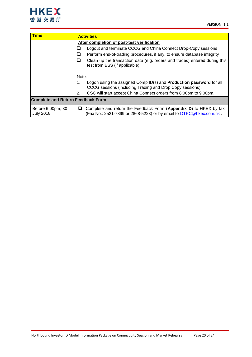

| <b>Time</b>                              | <b>Activities</b>                                                                                                                             |  |  |
|------------------------------------------|-----------------------------------------------------------------------------------------------------------------------------------------------|--|--|
|                                          | After completion of post-test verification                                                                                                    |  |  |
|                                          | Logout and terminate CCCG and China Connect Drop-Copy sessions                                                                                |  |  |
|                                          | Perform end-of-trading procedures, if any, to ensure database integrity                                                                       |  |  |
|                                          | Clean up the transaction data (e.g. orders and trades) entered during this<br>test from BSS (if applicable).                                  |  |  |
|                                          | Note:                                                                                                                                         |  |  |
|                                          | Logon using the assigned Comp ID(s) and <b>Production password</b> for all<br>1.<br>CCCG sessions (including Trading and Drop Copy sessions). |  |  |
|                                          | CSC will start accept China Connect orders from 8:00pm to 9:00pm.<br>2.                                                                       |  |  |
| <b>Complete and Return Feedback Form</b> |                                                                                                                                               |  |  |
| Before 6:00pm, 30<br><b>July 2018</b>    | Complete and return the Feedback Form (Appendix D) to HKEX by fax<br>⊔<br>(Fax No.: 2521-7899 or 2868-5223) or by email to OTPC@hkex.com.hk.  |  |  |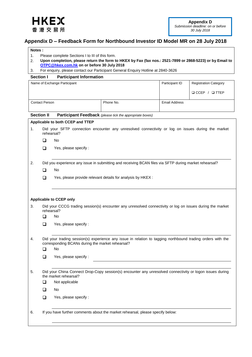<span id="page-20-1"></span>

## <span id="page-20-0"></span>**Appendix D – Feedback Form for Northbound Investor ID Model MR on 28 July 2018**

### **Notes :**

- 1. Please complete Sections I to III of this form.
- 2. **Upon completion, please return the form to HKEX by Fax (fax nos.: 2521-7899 or 2868-5223) or by Email to [OTPC@hkex.com.hk](mailto:OTPC@hkex.com.hk) on or before 30 July 2018**
- 3. For enquiry, please contact our Participant General Enquiry Hotline at 2840-3626

### **Section I Participant Information**

|                   |                                                                                                            | Name of Exchange Participant                           |                                                                                                           | Participant ID       | <b>Registration Category</b> |
|-------------------|------------------------------------------------------------------------------------------------------------|--------------------------------------------------------|-----------------------------------------------------------------------------------------------------------|----------------------|------------------------------|
|                   |                                                                                                            |                                                        |                                                                                                           |                      | $\Box$ CCEP / $\Box$ TTEP    |
|                   | <b>Contact Person</b>                                                                                      |                                                        | Phone No.                                                                                                 | <b>Email Address</b> |                              |
|                   |                                                                                                            |                                                        |                                                                                                           |                      |                              |
| <b>Section II</b> |                                                                                                            |                                                        | <b>Participant Feedback</b> (please tick the appropriate boxes)                                           |                      |                              |
|                   |                                                                                                            | Applicable to both CCEP and TTEP                       |                                                                                                           |                      |                              |
| 1.                | rehearsal?                                                                                                 |                                                        | Did your SFTP connection encounter any unresolved connectivity or log on issues during the market         |                      |                              |
|                   | ◻                                                                                                          | No                                                     |                                                                                                           |                      |                              |
|                   | ❏                                                                                                          | Yes, please specify :                                  |                                                                                                           |                      |                              |
| 2.                |                                                                                                            |                                                        | Did you experience any issue in submitting and receiving BCAN files via SFTP during market rehearsal?     |                      |                              |
|                   | ◻                                                                                                          | No                                                     |                                                                                                           |                      |                              |
|                   | $\Box$                                                                                                     |                                                        | Yes, please provide relevant details for analysis by HKEX :                                               |                      |                              |
|                   |                                                                                                            |                                                        |                                                                                                           |                      |                              |
|                   |                                                                                                            |                                                        |                                                                                                           |                      |                              |
|                   |                                                                                                            | <b>Applicable to CCEP only</b>                         |                                                                                                           |                      |                              |
| 3.                | rehearsal?                                                                                                 |                                                        | Did your CCCG trading session(s) encounter any unresolved connectivity or log on issues during the market |                      |                              |
|                   | □                                                                                                          | No                                                     |                                                                                                           |                      |                              |
|                   | ◻                                                                                                          | Yes, please specify :                                  |                                                                                                           |                      |                              |
| 4.                | Did your trading session(s) experience any issue in relation to tagging northbound trading orders with the |                                                        |                                                                                                           |                      |                              |
|                   | ◻                                                                                                          | corresponding BCANs during the market rehearsal?<br>No |                                                                                                           |                      |                              |
|                   | ப                                                                                                          | Yes, please specify :                                  |                                                                                                           |                      |                              |
|                   |                                                                                                            |                                                        |                                                                                                           |                      |                              |
| 5.                |                                                                                                            | the market rehearsal?                                  | Did your China Connect Drop-Copy session(s) encounter any unresolved connectivity or logon issues during  |                      |                              |
|                   | □                                                                                                          | Not applicable                                         |                                                                                                           |                      |                              |
|                   | $\Box$                                                                                                     | No                                                     |                                                                                                           |                      |                              |
|                   | $\Box$                                                                                                     | Yes, please specify :                                  |                                                                                                           |                      |                              |
| 6.                |                                                                                                            |                                                        | If you have further comments about the market rehearsal, please specify below:                            |                      |                              |
|                   |                                                                                                            |                                                        |                                                                                                           |                      |                              |
|                   |                                                                                                            |                                                        |                                                                                                           |                      |                              |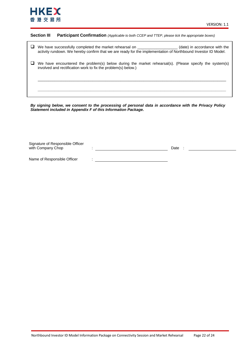

### **Section III Participant Confirmation** *(Applicable to both CCEP and TTEP, please tick the appropriate boxes)*

| We have successfully completed the market rehearsal on<br>(date) in accordance with the<br>activity rundown. We hereby confirm that we are ready for the implementation of Northbound Investor ID Model. |
|----------------------------------------------------------------------------------------------------------------------------------------------------------------------------------------------------------|
| We have encountered the problem(s) below during the market rehearsal(s). (Please specify the system(s)<br>involved and rectification work to fix the problem(s) below.)                                  |
|                                                                                                                                                                                                          |

*By signing below, we consent to the processing of personal data in accordance with the Privacy Policy Statement included in Appendix F of this Information Package.*

| Signature of Responsible Officer |      |  |
|----------------------------------|------|--|
| with Company Chop                | Date |  |
|                                  |      |  |
|                                  |      |  |

Name of Responsible Officer :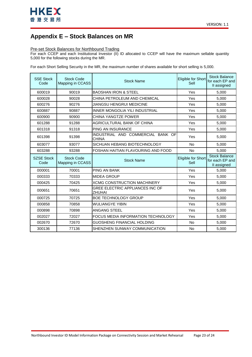

## <span id="page-22-0"></span>**Appendix E – Stock Balances on MR**

### Pre-set Stock Balances for Northbound Trading

For each CCEP and each Institutional Investor (II) ID allocated to CCEP will have the maximum sellable quantity 5,000 for the following stocks during the MR.

For each Short Selling Security in the MR, the maximum number of shares available for short selling is 5,000.

| <b>SSE Stock</b><br>Code  | <b>Stock Code</b><br>Mapping in CCASS | <b>Stock Name</b>                                 | Eligible for Short<br>Sell | <b>Stock Balance</b><br>for each EP and<br>II assigned |
|---------------------------|---------------------------------------|---------------------------------------------------|----------------------------|--------------------------------------------------------|
| 600019                    | 90019                                 | <b>BAOSHAN IRON &amp; STEEL</b>                   | Yes                        | 5,000                                                  |
| 600028                    | 90028                                 | CHINA PETROLEUM AND CHEMICAL                      | Yes                        | 5,000                                                  |
| 600276                    | 90276                                 | JIANGSU HENGRUI MEDICINE                          | Yes                        | 5.000                                                  |
| 600887                    | 90887                                 | INNER MONGOLIA YILI INDUSTRIAL                    | Yes                        | 5,000                                                  |
| 600900                    | 90900                                 | <b>CHINA YANGTZE POWER</b>                        | Yes                        | 5,000                                                  |
| 601288                    | 91288                                 | AGRICULTURAL BANK OF CHINA                        | Yes                        | 5,000                                                  |
| 601318                    | 91318                                 | <b>PING AN INSURANCE</b>                          | Yes                        | 5,000                                                  |
| 601398                    | 91398                                 | INDUSTRIAL AND COMMERCIAL BANK OF<br><b>CHINA</b> | Yes                        | 5,000                                                  |
| 603077                    | 93077                                 | SICHUAN HEBANG BIOTECHNOLOGY                      | <b>No</b>                  | 5,000                                                  |
| 603288                    | 93288                                 | FOSHAN HAITIAN FLAVOURING AND FOOD                | N <sub>o</sub>             | 5,000                                                  |
| <b>SZSE Stock</b><br>Code | <b>Stock Code</b><br>Mapping in CCASS | <b>Stock Name</b>                                 | Eligible for Short<br>Sell | <b>Stock Balance</b><br>for each EP and<br>II assigned |
| 000001                    | 70001                                 | <b>PING AN BANK</b>                               | Yes                        | 5,000                                                  |
| 000333                    | 70333                                 | <b>MIDEA GROUP</b>                                | Yes                        | 5.000                                                  |
| 000425                    | 70425                                 | <b>XCMG CONSTRUCTION MACHINERY</b>                | Yes                        | 5,000                                                  |
| 000651                    | 70651                                 | <b>GREE ELECTRIC APPLIANCES INC OF</b><br>ZHUHAI  | Yes                        | 5,000                                                  |
| 000725                    | 70725                                 | <b>BOE TECHNOLOGY GROUP</b>                       | Yes                        | 5,000                                                  |
| 000858                    | 70858                                 | <b>WULIANGYE YIBIN</b>                            | Yes                        | 5,000                                                  |
| 000898                    | 70898                                 | <b>ANGANG STEEL</b>                               | Yes                        | 5,000                                                  |
| 002027                    | 72027                                 | FOCUS MEDIA INFORMATION TECHNOLOGY                | Yes                        | 5,000                                                  |
| 002670                    |                                       |                                                   |                            |                                                        |
|                           | 72670                                 | GUOSHENG FINANCIAL HOLDING                        | N <sub>o</sub>             | 5,000                                                  |